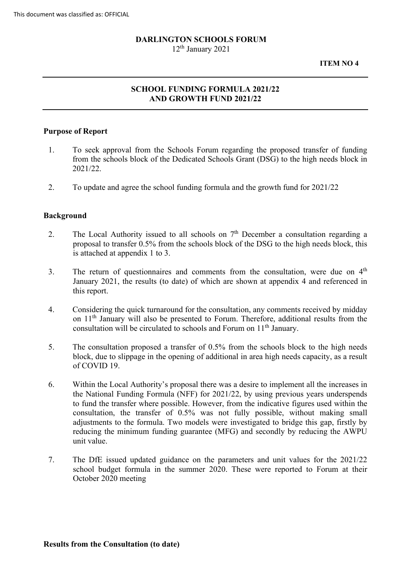# **DARLINGTON SCHOOLS FORUM**

 $12<sup>th</sup>$  January 2021

**ITEM NO 4** 

# **SCHOOL FUNDING FORMULA 2021/22 AND GROWTH FUND 2021/22**

#### **Purpose of Report**

- 1. To seek approval from the Schools Forum regarding the proposed transfer of funding from the schools block of the Dedicated Schools Grant (DSG) to the high needs block in 2021/22.
- 2. To update and agree the school funding formula and the growth fund for 2021/22

#### **Background**

- 2. The Local Authority issued to all schools on  $7<sup>th</sup>$  December a consultation regarding a proposal to transfer 0.5% from the schools block of the DSG to the high needs block, this is attached at appendix 1 to 3.
- 3. The return of questionnaires and comments from the consultation, were due on  $4<sup>th</sup>$ January 2021, the results (to date) of which are shown at appendix 4 and referenced in this report.
- on 11<sup>th</sup> January will also be presented to Forum. Therefore, additional results from the consultation will be circulated to schools and Forum on 11<sup>th</sup> January. 4. Considering the quick turnaround for the consultation, any comments received by midday
- block, due to slippage in the opening of additional in area high needs capacity, as a result 5. The consultation proposed a transfer of 0.5% from the schools block to the high needs of COVID 19.
- adjustments to the formula. Two models were investigated to bridge this gap, firstly by reducing the minimum funding guarantee (MFG) and secondly by reducing the AWPU 6. Within the Local Authority's proposal there was a desire to implement all the increases in the National Funding Formula (NFF) for 2021/22, by using previous years underspends to fund the transfer where possible. However, from the indicative figures used within the consultation, the transfer of 0.5% was not fully possible, without making small unit value.
- 7. The DfE issued updated guidance on the parameters and unit values for the 2021/22 school budget formula in the summer 2020. These were reported to Forum at their October 2020 meeting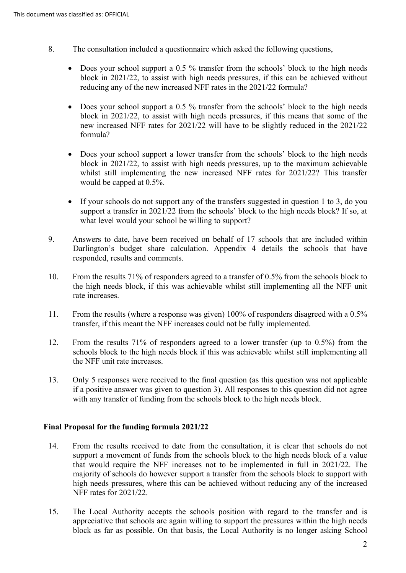- 8. The consultation included a questionnaire which asked the following questions,
	- Does your school support a 0.5 % transfer from the schools' block to the high needs block in 2021/22, to assist with high needs pressures, if this can be achieved without reducing any of the new increased NFF rates in the 2021/22 formula?
	- Does your school support a 0.5 % transfer from the schools' block to the high needs block in 2021/22, to assist with high needs pressures, if this means that some of the new increased NFF rates for 2021/22 will have to be slightly reduced in the 2021/22 formula?
	- Does your school support a lower transfer from the schools' block to the high needs block in 2021/22, to assist with high needs pressures, up to the maximum achievable whilst still implementing the new increased NFF rates for 2021/22? This transfer would be capped at 0.5%.
	- support a transfer in 2021/22 from the schools' block to the high needs block? If so, at • If your schools do not support any of the transfers suggested in question 1 to 3, do you what level would your school be willing to support?
- 9. Answers to date, have been received on behalf of 17 schools that are included within Darlington's budget share calculation. Appendix 4 details the schools that have responded, results and comments.
- 10. From the results 71% of responders agreed to a transfer of 0.5% from the schools block to the high needs block, if this was achievable whilst still implementing all the NFF unit rate increases.
- 11. From the results (where a response was given) 100% of responders disagreed with a 0.5% transfer, if this meant the NFF increases could not be fully implemented.
- 12. From the results 71% of responders agreed to a lower transfer (up to 0.5%) from the schools block to the high needs block if this was achievable whilst still implementing all the NFF unit rate increases.
- if a positive answer was given to question 3). All responses to this question did not agree with any transfer of funding from the schools block to the high needs block. 13. Only 5 responses were received to the final question (as this question was not applicable

## **Final Proposal for the funding formula 2021/22**

- that would require the NFF increases not to be implemented in full in 2021/22. The high needs pressures, where this can be achieved without reducing any of the increased NFF rates for 2021/22. 14. From the results received to date from the consultation, it is clear that schools do not support a movement of funds from the schools block to the high needs block of a value majority of schools do however support a transfer from the schools block to support with
- 15. The Local Authority accepts the schools position with regard to the transfer and is block as far as possible. On that basis, the Local Authority is no longer asking School appreciative that schools are again willing to support the pressures within the high needs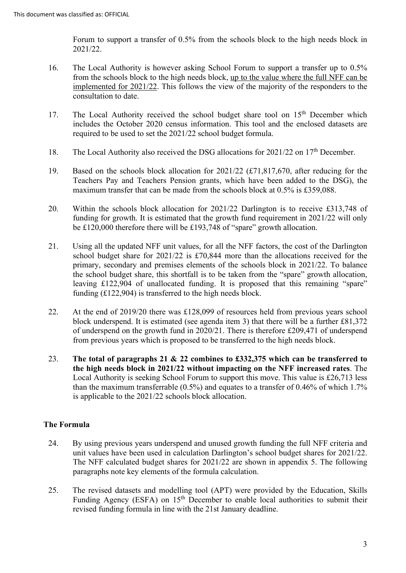Forum to support a transfer of 0.5% from the schools block to the high needs block in 2021/22.

- consultation to date. 16. The Local Authority is however asking School Forum to support a transfer up to 0.5% from the schools block to the high needs block, up to the value where the full NFF can be implemented for 2021/22. This follows the view of the majority of the responders to the
- required to be used to set the 2021/22 school budget formula. 17. The Local Authority received the school budget share tool on 15<sup>th</sup> December which includes the October 2020 census information. This tool and the enclosed datasets are
- 18. The Local Authority also received the DSG allocations for 2021/22 on  $17<sup>th</sup>$  December.
- 19. Based on the schools block allocation for 2021/22 (£71,817,670, after reducing for the Teachers Pay and Teachers Pension grants, which have been added to the DSG), the maximum transfer that can be made from the schools block at 0.5% is £359,088.
- funding for growth. It is estimated that the growth fund requirement in 2021/22 will only be £120,000 therefore there will be £193,748 of "spare" growth allocation. 20. Within the schools block allocation for 2021/22 Darlington is to receive £313,748 of
- 21. Using all the updated NFF unit values, for all the NFF factors, the cost of the Darlington school budget share for 2021/22 is £70,844 more than the allocations received for the primary, secondary and premises elements of the schools block in 2021/22. To balance the school budget share, this shortfall is to be taken from the "spare" growth allocation, leaving £122,904 of unallocated funding. It is proposed that this remaining "spare" funding (£122,904) is transferred to the high needs block.
- from previous years which is proposed to be transferred to the high needs block. 22. At the end of 2019/20 there was £128,099 of resources held from previous years school block underspend. It is estimated (see agenda item 3) that there will be a further £81,372 of underspend on the growth fund in 2020/21. There is therefore £209,471 of underspend
- 23. **The total of paragraphs 21 & 22 combines to £332,375 which can be transferred to the high needs block in 2021/22 without impacting on the NFF increased rates**. The Local Authority is seeking School Forum to support this move. This value is £26,713 less than the maximum transferrable (0.5%) and equates to a transfer of 0.46% of which 1.7% is applicable to the 2021/22 schools block allocation.

# **The Formula**

- 24. By using previous years underspend and unused growth funding the full NFF criteria and unit values have been used in calculation Darlington's school budget shares for 2021/22. The NFF calculated budget shares for 2021/22 are shown in appendix 5. The following paragraphs note key elements of the formula calculation.
- 25. The revised datasets and modelling tool (APT) were provided by the Education, Skills Funding Agency (ESFA) on 15<sup>th</sup> December to enable local authorities to submit their revised funding formula in line with the 21st January deadline.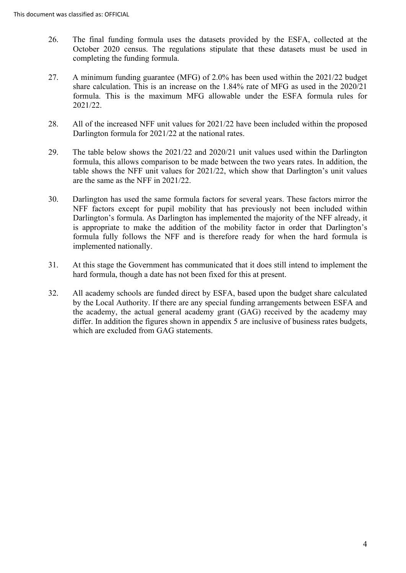- 26. The final funding formula uses the datasets provided by the ESFA, collected at the October 2020 census. The regulations stipulate that these datasets must be used in completing the funding formula.
- 27. A minimum funding guarantee (MFG) of 2.0% has been used within the 2021/22 budget share calculation. This is an increase on the 1.84% rate of MFG as used in the 2020/21 formula. This is the maximum MFG allowable under the ESFA formula rules for 2021/22.
- Darlington formula for 2021/22 at the national rates. 28. All of the increased NFF unit values for 2021/22 have been included within the proposed
- formula, this allows comparison to be made between the two years rates. In addition, the 29. The table below shows the 2021/22 and 2020/21 unit values used within the Darlington table shows the NFF unit values for 2021/22, which show that Darlington's unit values are the same as the NFF in 2021/22.
- NFF factors except for pupil mobility that has previously not been included within Darlington's formula. As Darlington has implemented the majority of the NFF already, it implemented nationally. 30. Darlington has used the same formula factors for several years. These factors mirror the is appropriate to make the addition of the mobility factor in order that Darlington's formula fully follows the NFF and is therefore ready for when the hard formula is
- hard formula, though a date has not been fixed for this at present. 31. At this stage the Government has communicated that it does still intend to implement the
- by the Local Authority. If there are any special funding arrangements between ESFA and differ. In addition the figures shown in appendix 5 are inclusive of business rates budgets, 32. All academy schools are funded direct by ESFA, based upon the budget share calculated the academy, the actual general academy grant (GAG) received by the academy may which are excluded from GAG statements.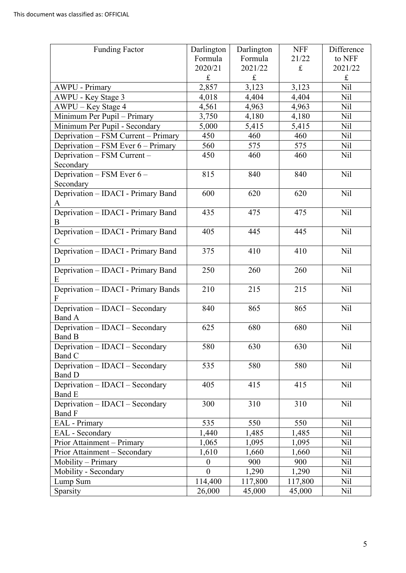| <b>Funding Factor</b>                     | Darlington | Darlington  | <b>NFF</b> | Difference      |
|-------------------------------------------|------------|-------------|------------|-----------------|
|                                           | Formula    | Formula     | 21/22      | to NFF          |
|                                           | 2020/21    | 2021/22     | $\pounds$  | 2021/22         |
|                                           | £          | $\mathbf f$ |            | $\pounds$       |
| <b>AWPU - Primary</b>                     | 2,857      | 3,123       | 3,123      | Nil             |
| AWPU - Key Stage 3                        | 4,018      | 4,404       | 4,404      | <b>Nil</b>      |
| AWPU – Key Stage 4                        | 4,561      | 4,963       | 4,963      | Nil             |
| Minimum Per Pupil - Primary               | 3,750      | 4,180       | 4,180      | Nil             |
| Minimum Per Pupil - Secondary             | 5,000      | 5,415       | 5,415      | Nil             |
| Deprivation - FSM Current - Primary       | 450        | 460         | 460        | N <sub>il</sub> |
| Deprivation - FSM Ever 6 - Primary        | 560        | 575         | 575        | Nil             |
| Deprivation - FSM Current -               | 450        | 460         | 460        | N <sub>il</sub> |
| Secondary                                 |            |             |            |                 |
| Deprivation - FSM Ever 6 -                | 815        | 840         | 840        | Nil             |
| Secondary                                 |            |             |            |                 |
| Deprivation - IDACI - Primary Band        | 600        | 620         | 620        | Nil             |
| A                                         |            |             |            |                 |
| Deprivation - IDACI - Primary Band        | 435        | 475         | 475        | Nil             |
| B                                         |            |             |            |                 |
| Deprivation - IDACI - Primary Band        | 405        | 445         | 445        | Nil             |
| $\mathsf{C}$                              |            |             |            |                 |
| Deprivation - IDACI - Primary Band        | 375        | 410         | 410        | Nil             |
| D                                         |            |             |            |                 |
| Deprivation - IDACI - Primary Band        | 250        | 260         | 260        | Nil             |
| Ε                                         |            |             |            |                 |
| Deprivation - IDACI - Primary Bands       | 210        | 215         | 215        | Nil             |
|                                           |            |             |            |                 |
| Deprivation - IDACI - Secondary           | 840        | 865         | 865        | Nil             |
| Band A                                    | 625        | 680         | 680        | Nil             |
| Deprivation - IDACI - Secondary<br>Band B |            |             |            |                 |
| Deprivation - IDACI - Secondary           | 580        | 630         | 630        | Nil             |
| Band C                                    |            |             |            |                 |
| Deprivation - IDACI - Secondary           | 535        | 580         | 580        | N <sub>il</sub> |
| <b>Band D</b>                             |            |             |            |                 |
| Deprivation - IDACI - Secondary           | 405        | 415         | 415        | Nil             |
| Band E                                    |            |             |            |                 |
| Deprivation - IDACI - Secondary           | 300        | 310         | 310        | N <sub>il</sub> |
| Band F                                    |            |             |            |                 |
| EAL - Primary                             | 535        | 550         | 550        | N <sub>il</sub> |
| EAL - Secondary                           | 1,440      | 1,485       | 1,485      | N <sub>il</sub> |
| Prior Attainment – Primary                | 1,065      | 1,095       | 1,095      | Nil             |
| Prior Attainment - Secondary              | 1,610      | 1,660       | 1,660      | Nil             |
| Mobility - Primary                        | $\theta$   | 900         | 900        | Nil             |
| Mobility - Secondary                      | $\theta$   | 1,290       | 1,290      | Nil             |
| Lump Sum                                  | 114,400    | 117,800     | 117,800    | <b>Nil</b>      |
| Sparsity                                  | 26,000     | 45,000      | 45,000     | Nil             |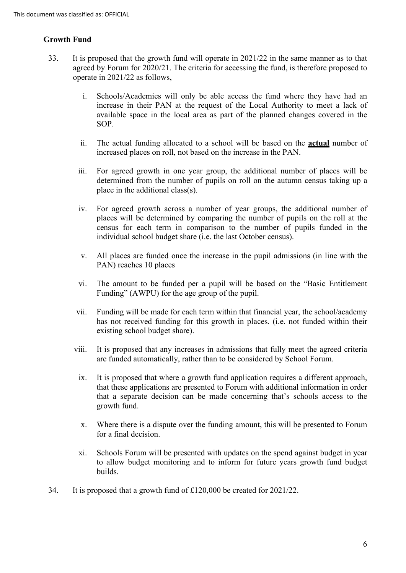## **Growth Fund**

- 33. It is proposed that the growth fund will operate in 2021/22 in the same manner as to that agreed by Forum for 2020/21. The criteria for accessing the fund, is therefore proposed to operate in 2021/22 as follows,
	- i. Schools/Academies will only be able access the fund where they have had an increase in their PAN at the request of the Local Authority to meet a lack of available space in the local area as part of the planned changes covered in the SOP.
	- ii. The actual funding allocated to a school will be based on the **actual** number of increased places on roll, not based on the increase in the PAN.
	- iii. For agreed growth in one year group, the additional number of places will be determined from the number of pupils on roll on the autumn census taking up a place in the additional class(s).
	- iv. For agreed growth across a number of year groups, the additional number of places will be determined by comparing the number of pupils on the roll at the census for each term in comparison to the number of pupils funded in the individual school budget share (i.e. the last October census).
	- v. All places are funded once the increase in the pupil admissions (in line with the PAN) reaches 10 places
	- vi. The amount to be funded per a pupil will be based on the "Basic Entitlement Funding" (AWPU) for the age group of the pupil.
	- vii. Funding will be made for each term within that financial year, the school/academy has not received funding for this growth in places. (i.e. not funded within their existing school budget share).
	- viii. It is proposed that any increases in admissions that fully meet the agreed criteria are funded automatically, rather than to be considered by School Forum.
	- ix. It is proposed that where a growth fund application requires a different approach, that these applications are presented to Forum with additional information in order that a separate decision can be made concerning that's schools access to the growth fund.
	- x. Where there is a dispute over the funding amount, this will be presented to Forum for a final decision.
	- xi. Schools Forum will be presented with updates on the spend against budget in year to allow budget monitoring and to inform for future years growth fund budget builds.
- 34. It is proposed that a growth fund of £120,000 be created for 2021/22.